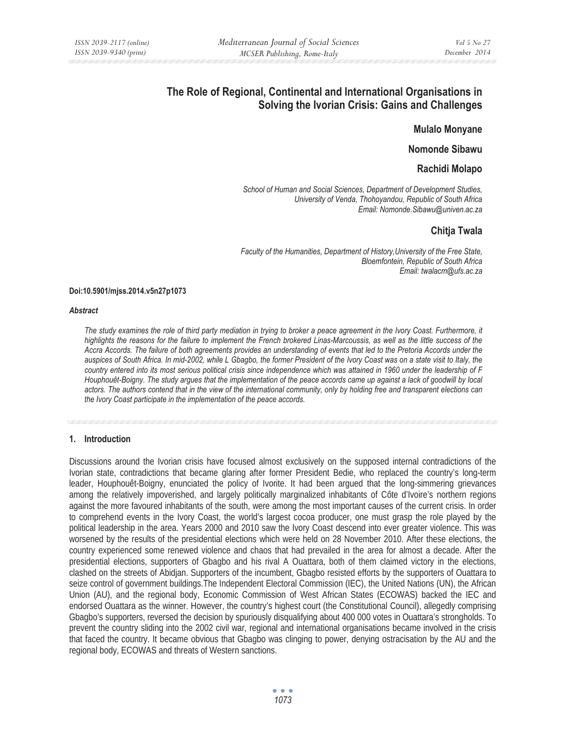# **The Role of Regional, Continental and International Organisations in Solving the Ivorian Crisis: Gains and Challenges**

#### **Mulalo Monyane**

### **Nomonde Sibawu**

### **Rachidi Molapo**

*School of Human and Social Sciences, Department of Development Studies, University of Venda, Thohoyandou, Republic of South Africa Email: Nomonde.Sibawu@univen.ac.za* 

## **Chitja Twala**

*Faculty of the Humanities, Department of History,University of the Free State, Bloemfontein, Republic of South Africa Email: twalacm@ufs.ac.za* 

#### **Doi:10.5901/mjss.2014.v5n27p1073**

#### *Abstract*

The study examines the role of third party mediation in trying to broker a peace agreement in the Ivory Coast. Furthermore, it highlights the reasons for the failure to implement the French brokered Linas-Marcoussis, as well as the little success of the *Accra Accords. The failure of both agreements provides an understanding of events that led to the Pretoria Accords under the auspices of South Africa. In mid-2002, while L Gbagbo, the former President of the Ivory Coast was on a state visit to Italy, the country entered into its most serious political crisis since independence which was attained in 1960 under the leadership of F Houphouêt-Boigny. The study argues that the implementation of the peace accords came up against a lack of goodwill by local actors. The authors contend that in the view of the international community, only by holding free and transparent elections can the Ivory Coast participate in the implementation of the peace accords.* 

#### **1. Introduction**

Discussions around the Ivorian crisis have focused almost exclusively on the supposed internal contradictions of the Ivorian state, contradictions that became glaring after former President Bedie, who replaced the country's long-term leader, Houphouêt-Boigny, enunciated the policy of Ivorite. It had been argued that the long-simmering grievances among the relatively impoverished, and largely politically marginalized inhabitants of Côte d'Ivoire's northern regions against the more favoured inhabitants of the south, were among the most important causes of the current crisis. In order to comprehend events in the Ivory Coast, the world's largest cocoa producer, one must grasp the role played by the political leadership in the area. Years 2000 and 2010 saw the Ivory Coast descend into ever greater violence. This was worsened by the results of the presidential elections which were held on 28 November 2010. After these elections, the country experienced some renewed violence and chaos that had prevailed in the area for almost a decade. After the presidential elections, supporters of Gbagbo and his rival A Ouattara, both of them claimed victory in the elections, clashed on the streets of Abidjan. Supporters of the incumbent, Gbagbo resisted efforts by the supporters of Ouattara to seize control of government buildings.The Independent Electoral Commission (IEC), the United Nations (UN), the African Union (AU), and the regional body, Economic Commission of West African States (ECOWAS) backed the IEC and endorsed Ouattara as the winner. However, the country's highest court (the Constitutional Council), allegedly comprising Gbagbo's supporters, reversed the decision by spuriously disqualifying about 400 000 votes in Ouattara's strongholds. To prevent the country sliding into the 2002 civil war, regional and international organisations became involved in the crisis that faced the country. It became obvious that Gbagbo was clinging to power, denying ostracisation by the AU and the regional body, ECOWAS and threats of Western sanctions.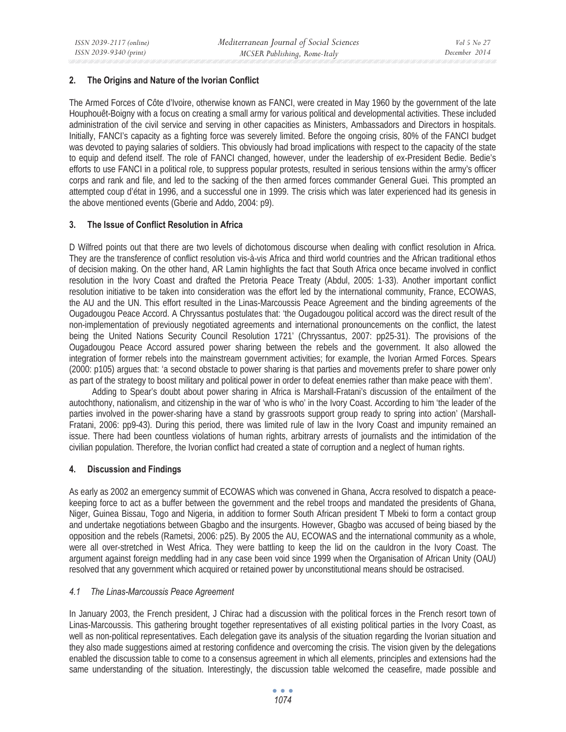### **2. The Origins and Nature of the Ivorian Conflict**

The Armed Forces of Côte d'Ivoire, otherwise known as FANCI, were created in May 1960 by the government of the late Houphouêt-Boigny with a focus on creating a small army for various political and developmental activities. These included administration of the civil service and serving in other capacities as Ministers, Ambassadors and Directors in hospitals. Initially, FANCI's capacity as a fighting force was severely limited. Before the ongoing crisis, 80% of the FANCI budget was devoted to paying salaries of soldiers. This obviously had broad implications with respect to the capacity of the state to equip and defend itself. The role of FANCI changed, however, under the leadership of ex-President Bedie. Bedie's efforts to use FANCI in a political role, to suppress popular protests, resulted in serious tensions within the army's officer corps and rank and file, and led to the sacking of the then armed forces commander General Guei. This prompted an attempted coup d'état in 1996, and a successful one in 1999. The crisis which was later experienced had its genesis in the above mentioned events (Gberie and Addo, 2004: p9).

### **3. The Issue of Conflict Resolution in Africa**

D Wilfred points out that there are two levels of dichotomous discourse when dealing with conflict resolution in Africa. They are the transference of conflict resolution vis-à-vis Africa and third world countries and the African traditional ethos of decision making. On the other hand, AR Lamin highlights the fact that South Africa once became involved in conflict resolution in the Ivory Coast and drafted the Pretoria Peace Treaty (Abdul, 2005: 1-33). Another important conflict resolution initiative to be taken into consideration was the effort led by the international community, France, ECOWAS, the AU and the UN. This effort resulted in the Linas-Marcoussis Peace Agreement and the binding agreements of the Ougadougou Peace Accord. A Chryssantus postulates that: 'the Ougadougou political accord was the direct result of the non-implementation of previously negotiated agreements and international pronouncements on the conflict, the latest being the United Nations Security Council Resolution 1721' (Chryssantus, 2007: pp25-31). The provisions of the Ougadougou Peace Accord assured power sharing between the rebels and the government. It also allowed the integration of former rebels into the mainstream government activities; for example, the Ivorian Armed Forces. Spears (2000: p105) argues that: 'a second obstacle to power sharing is that parties and movements prefer to share power only as part of the strategy to boost military and political power in order to defeat enemies rather than make peace with them'.

Adding to Spear's doubt about power sharing in Africa is Marshall-Fratani's discussion of the entailment of the autochthony, nationalism, and citizenship in the war of 'who is who' in the Ivory Coast. According to him 'the leader of the parties involved in the power-sharing have a stand by grassroots support group ready to spring into action' (Marshall-Fratani, 2006: pp9-43). During this period, there was limited rule of law in the Ivory Coast and impunity remained an issue. There had been countless violations of human rights, arbitrary arrests of journalists and the intimidation of the civilian population. Therefore, the Ivorian conflict had created a state of corruption and a neglect of human rights.

#### **4. Discussion and Findings**

As early as 2002 an emergency summit of ECOWAS which was convened in Ghana, Accra resolved to dispatch a peacekeeping force to act as a buffer between the government and the rebel troops and mandated the presidents of Ghana, Niger, Guinea Bissau, Togo and Nigeria, in addition to former South African president T Mbeki to form a contact group and undertake negotiations between Gbagbo and the insurgents. However, Gbagbo was accused of being biased by the opposition and the rebels (Rametsi, 2006: p25). By 2005 the AU, ECOWAS and the international community as a whole, were all over-stretched in West Africa. They were battling to keep the lid on the cauldron in the Ivory Coast. The argument against foreign meddling had in any case been void since 1999 when the Organisation of African Unity (OAU) resolved that any government which acquired or retained power by unconstitutional means should be ostracised.

#### *4.1 The Linas-Marcoussis Peace Agreement*

In January 2003, the French president, J Chirac had a discussion with the political forces in the French resort town of Linas-Marcoussis. This gathering brought together representatives of all existing political parties in the Ivory Coast, as well as non-political representatives. Each delegation gave its analysis of the situation regarding the Ivorian situation and they also made suggestions aimed at restoring confidence and overcoming the crisis. The vision given by the delegations enabled the discussion table to come to a consensus agreement in which all elements, principles and extensions had the same understanding of the situation. Interestingly, the discussion table welcomed the ceasefire, made possible and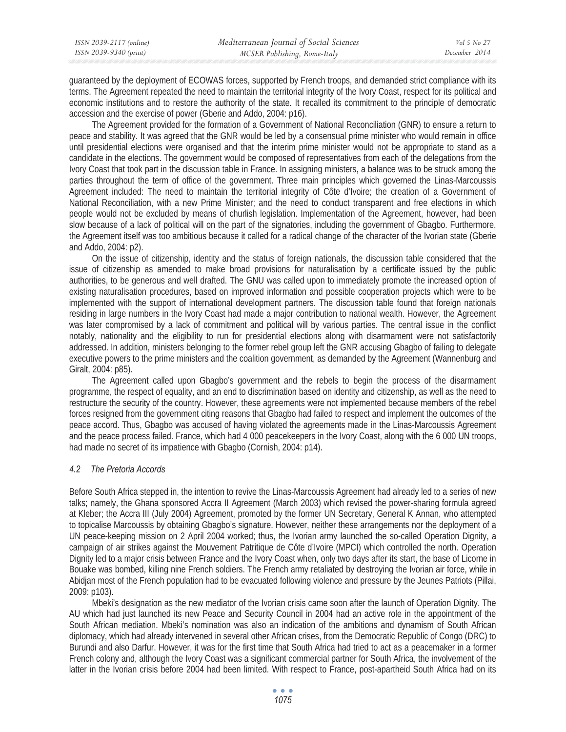| ISSN 2039-2117 (online) | Mediterranean Journal of Social Sciences | Vol 5 No 27   |
|-------------------------|------------------------------------------|---------------|
| ISSN 2039-9340 (print)  | MCSER Publishing, Rome-Italy             | December 2014 |
|                         |                                          |               |

guaranteed by the deployment of ECOWAS forces, supported by French troops, and demanded strict compliance with its terms. The Agreement repeated the need to maintain the territorial integrity of the Ivory Coast, respect for its political and economic institutions and to restore the authority of the state. It recalled its commitment to the principle of democratic accession and the exercise of power (Gberie and Addo, 2004: p16).

The Agreement provided for the formation of a Government of National Reconciliation (GNR) to ensure a return to peace and stability. It was agreed that the GNR would be led by a consensual prime minister who would remain in office until presidential elections were organised and that the interim prime minister would not be appropriate to stand as a candidate in the elections. The government would be composed of representatives from each of the delegations from the Ivory Coast that took part in the discussion table in France. In assigning ministers, a balance was to be struck among the parties throughout the term of office of the government. Three main principles which governed the Linas-Marcoussis Agreement included: The need to maintain the territorial integrity of Côte d'Ivoire; the creation of a Government of National Reconciliation, with a new Prime Minister; and the need to conduct transparent and free elections in which people would not be excluded by means of churlish legislation. Implementation of the Agreement, however, had been slow because of a lack of political will on the part of the signatories, including the government of Gbagbo. Furthermore, the Agreement itself was too ambitious because it called for a radical change of the character of the Ivorian state (Gberie and Addo, 2004: p2).

On the issue of citizenship, identity and the status of foreign nationals, the discussion table considered that the issue of citizenship as amended to make broad provisions for naturalisation by a certificate issued by the public authorities, to be generous and well drafted. The GNU was called upon to immediately promote the increased option of existing naturalisation procedures, based on improved information and possible cooperation projects which were to be implemented with the support of international development partners. The discussion table found that foreign nationals residing in large numbers in the Ivory Coast had made a major contribution to national wealth. However, the Agreement was later compromised by a lack of commitment and political will by various parties. The central issue in the conflict notably, nationality and the eligibility to run for presidential elections along with disarmament were not satisfactorily addressed. In addition, ministers belonging to the former rebel group left the GNR accusing Gbagbo of failing to delegate executive powers to the prime ministers and the coalition government, as demanded by the Agreement (Wannenburg and Giralt, 2004: p85).

The Agreement called upon Gbagbo's government and the rebels to begin the process of the disarmament programme, the respect of equality, and an end to discrimination based on identity and citizenship, as well as the need to restructure the security of the country. However, these agreements were not implemented because members of the rebel forces resigned from the government citing reasons that Gbagbo had failed to respect and implement the outcomes of the peace accord. Thus, Gbagbo was accused of having violated the agreements made in the Linas-Marcoussis Agreement and the peace process failed. France, which had 4 000 peacekeepers in the Ivory Coast, along with the 6 000 UN troops, had made no secret of its impatience with Gbagbo (Cornish, 2004: p14).

#### *4.2 The Pretoria Accords*

Before South Africa stepped in, the intention to revive the Linas-Marcoussis Agreement had already led to a series of new talks; namely, the Ghana sponsored Accra II Agreement (March 2003) which revised the power-sharing formula agreed at Kleber; the Accra III (July 2004) Agreement, promoted by the former UN Secretary, General K Annan, who attempted to topicalise Marcoussis by obtaining Gbagbo's signature. However, neither these arrangements nor the deployment of a UN peace-keeping mission on 2 April 2004 worked; thus, the Ivorian army launched the so-called Operation Dignity, a campaign of air strikes against the Mouvement Patritique de Côte d'Ivoire (MPCI) which controlled the north. Operation Dignity led to a major crisis between France and the Ivory Coast when, only two days after its start, the base of Licorne in Bouake was bombed, killing nine French soldiers. The French army retaliated by destroying the Ivorian air force, while in Abidjan most of the French population had to be evacuated following violence and pressure by the Jeunes Patriots (Pillai, 2009: p103).

Mbeki's designation as the new mediator of the Ivorian crisis came soon after the launch of Operation Dignity. The AU which had just launched its new Peace and Security Council in 2004 had an active role in the appointment of the South African mediation. Mbeki's nomination was also an indication of the ambitions and dynamism of South African diplomacy, which had already intervened in several other African crises, from the Democratic Republic of Congo (DRC) to Burundi and also Darfur. However, it was for the first time that South Africa had tried to act as a peacemaker in a former French colony and, although the Ivory Coast was a significant commercial partner for South Africa, the involvement of the latter in the Ivorian crisis before 2004 had been limited. With respect to France, post-apartheid South Africa had on its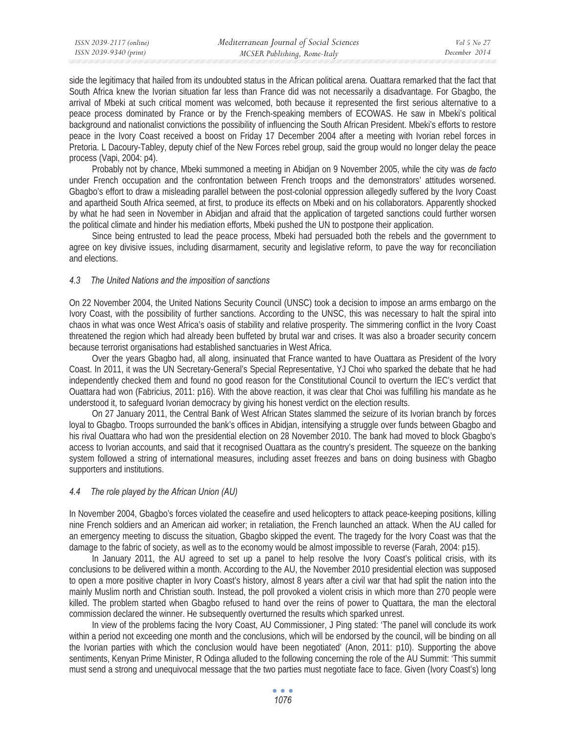side the legitimacy that hailed from its undoubted status in the African political arena. Ouattara remarked that the fact that South Africa knew the Ivorian situation far less than France did was not necessarily a disadvantage. For Gbagbo, the arrival of Mbeki at such critical moment was welcomed, both because it represented the first serious alternative to a peace process dominated by France or by the French-speaking members of ECOWAS. He saw in Mbeki's political background and nationalist convictions the possibility of influencing the South African President. Mbeki's efforts to restore peace in the Ivory Coast received a boost on Friday 17 December 2004 after a meeting with Ivorian rebel forces in Pretoria. L Dacoury-Tabley, deputy chief of the New Forces rebel group, said the group would no longer delay the peace process (Vapi, 2004: p4).

Probably not by chance, Mbeki summoned a meeting in Abidjan on 9 November 2005, while the city was *de facto*  under French occupation and the confrontation between French troops and the demonstrators' attitudes worsened. Gbagbo's effort to draw a misleading parallel between the post-colonial oppression allegedly suffered by the Ivory Coast and apartheid South Africa seemed, at first, to produce its effects on Mbeki and on his collaborators. Apparently shocked by what he had seen in November in Abidjan and afraid that the application of targeted sanctions could further worsen the political climate and hinder his mediation efforts, Mbeki pushed the UN to postpone their application.

Since being entrusted to lead the peace process, Mbeki had persuaded both the rebels and the government to agree on key divisive issues, including disarmament, security and legislative reform, to pave the way for reconciliation and elections.

### *4.3 The United Nations and the imposition of sanctions*

On 22 November 2004, the United Nations Security Council (UNSC) took a decision to impose an arms embargo on the Ivory Coast, with the possibility of further sanctions. According to the UNSC, this was necessary to halt the spiral into chaos in what was once West Africa's oasis of stability and relative prosperity. The simmering conflict in the Ivory Coast threatened the region which had already been buffeted by brutal war and crises. It was also a broader security concern because terrorist organisations had established sanctuaries in West Africa.

Over the years Gbagbo had, all along, insinuated that France wanted to have Ouattara as President of the Ivory Coast. In 2011, it was the UN Secretary-General's Special Representative, YJ Choi who sparked the debate that he had independently checked them and found no good reason for the Constitutional Council to overturn the IEC's verdict that Ouattara had won (Fabricius, 2011: p16). With the above reaction, it was clear that Choi was fulfilling his mandate as he understood it, to safeguard Ivorian democracy by giving his honest verdict on the election results.

On 27 January 2011, the Central Bank of West African States slammed the seizure of its Ivorian branch by forces loyal to Gbagbo. Troops surrounded the bank's offices in Abidjan, intensifying a struggle over funds between Gbagbo and his rival Ouattara who had won the presidential election on 28 November 2010. The bank had moved to block Gbagbo's access to Ivorian accounts, and said that it recognised Ouattara as the country's president. The squeeze on the banking system followed a string of international measures, including asset freezes and bans on doing business with Gbagbo supporters and institutions.

#### *4.4 The role played by the African Union (AU)*

In November 2004, Gbagbo's forces violated the ceasefire and used helicopters to attack peace-keeping positions, killing nine French soldiers and an American aid worker; in retaliation, the French launched an attack. When the AU called for an emergency meeting to discuss the situation, Gbagbo skipped the event. The tragedy for the Ivory Coast was that the damage to the fabric of society, as well as to the economy would be almost impossible to reverse (Farah, 2004: p15).

In January 2011, the AU agreed to set up a panel to help resolve the Ivory Coast's political crisis, with its conclusions to be delivered within a month. According to the AU, the November 2010 presidential election was supposed to open a more positive chapter in Ivory Coast's history, almost 8 years after a civil war that had split the nation into the mainly Muslim north and Christian south. Instead, the poll provoked a violent crisis in which more than 270 people were killed. The problem started when Gbagbo refused to hand over the reins of power to Quattara, the man the electoral commission declared the winner. He subsequently overturned the results which sparked unrest.

In view of the problems facing the Ivory Coast, AU Commissioner, J Ping stated: 'The panel will conclude its work within a period not exceeding one month and the conclusions, which will be endorsed by the council, will be binding on all the Ivorian parties with which the conclusion would have been negotiated' (Anon, 2011: p10). Supporting the above sentiments, Kenyan Prime Minister, R Odinga alluded to the following concerning the role of the AU Summit: 'This summit must send a strong and unequivocal message that the two parties must negotiate face to face. Given (Ivory Coast's) long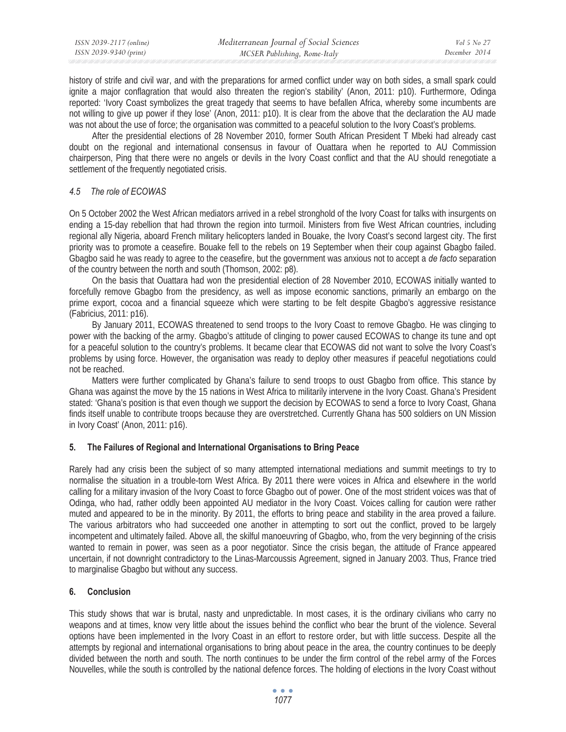history of strife and civil war, and with the preparations for armed conflict under way on both sides, a small spark could ignite a major conflagration that would also threaten the region's stability' (Anon, 2011: p10). Furthermore, Odinga reported: 'Ivory Coast symbolizes the great tragedy that seems to have befallen Africa, whereby some incumbents are not willing to give up power if they lose' (Anon, 2011: p10). It is clear from the above that the declaration the AU made was not about the use of force; the organisation was committed to a peaceful solution to the Ivory Coast's problems.

After the presidential elections of 28 November 2010, former South African President T Mbeki had already cast doubt on the regional and international consensus in favour of Ouattara when he reported to AU Commission chairperson, Ping that there were no angels or devils in the Ivory Coast conflict and that the AU should renegotiate a settlement of the frequently negotiated crisis.

## *4.5 The role of ECOWAS*

On 5 October 2002 the West African mediators arrived in a rebel stronghold of the Ivory Coast for talks with insurgents on ending a 15-day rebellion that had thrown the region into turmoil. Ministers from five West African countries, including regional ally Nigeria, aboard French military helicopters landed in Bouake, the Ivory Coast's second largest city. The first priority was to promote a ceasefire. Bouake fell to the rebels on 19 September when their coup against Gbagbo failed. Gbagbo said he was ready to agree to the ceasefire, but the government was anxious not to accept a *de facto* separation of the country between the north and south (Thomson, 2002: p8).

On the basis that Ouattara had won the presidential election of 28 November 2010, ECOWAS initially wanted to forcefully remove Gbagbo from the presidency, as well as impose economic sanctions, primarily an embargo on the prime export, cocoa and a financial squeeze which were starting to be felt despite Gbagbo's aggressive resistance (Fabricius, 2011: p16).

By January 2011, ECOWAS threatened to send troops to the Ivory Coast to remove Gbagbo. He was clinging to power with the backing of the army. Gbagbo's attitude of clinging to power caused ECOWAS to change its tune and opt for a peaceful solution to the country's problems. It became clear that ECOWAS did not want to solve the Ivory Coast's problems by using force. However, the organisation was ready to deploy other measures if peaceful negotiations could not be reached.

Matters were further complicated by Ghana's failure to send troops to oust Gbagbo from office. This stance by Ghana was against the move by the 15 nations in West Africa to militarily intervene in the Ivory Coast. Ghana's President stated: 'Ghana's position is that even though we support the decision by ECOWAS to send a force to Ivory Coast, Ghana finds itself unable to contribute troops because they are overstretched. Currently Ghana has 500 soldiers on UN Mission in Ivory Coast' (Anon, 2011: p16).

## **5. The Failures of Regional and International Organisations to Bring Peace**

Rarely had any crisis been the subject of so many attempted international mediations and summit meetings to try to normalise the situation in a trouble-torn West Africa. By 2011 there were voices in Africa and elsewhere in the world calling for a military invasion of the Ivory Coast to force Gbagbo out of power. One of the most strident voices was that of Odinga, who had, rather oddly been appointed AU mediator in the Ivory Coast. Voices calling for caution were rather muted and appeared to be in the minority. By 2011, the efforts to bring peace and stability in the area proved a failure. The various arbitrators who had succeeded one another in attempting to sort out the conflict, proved to be largely incompetent and ultimately failed. Above all, the skilful manoeuvring of Gbagbo, who, from the very beginning of the crisis wanted to remain in power, was seen as a poor negotiator. Since the crisis began, the attitude of France appeared uncertain, if not downright contradictory to the Linas-Marcoussis Agreement, signed in January 2003. Thus, France tried to marginalise Gbagbo but without any success.

## **6. Conclusion**

This study shows that war is brutal, nasty and unpredictable. In most cases, it is the ordinary civilians who carry no weapons and at times, know very little about the issues behind the conflict who bear the brunt of the violence. Several options have been implemented in the Ivory Coast in an effort to restore order, but with little success. Despite all the attempts by regional and international organisations to bring about peace in the area, the country continues to be deeply divided between the north and south. The north continues to be under the firm control of the rebel army of the Forces Nouvelles, while the south is controlled by the national defence forces. The holding of elections in the Ivory Coast without